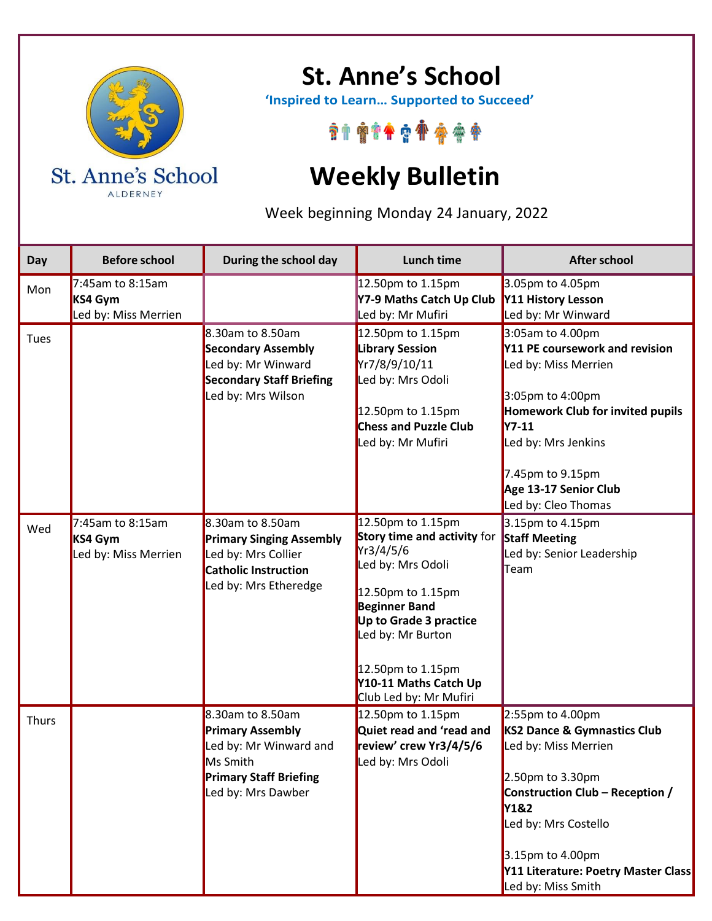

**St. Anne's School**

 **'Inspired to Learn… Supported to Succeed'**

\*\*\*\*\*\*\*\*\*\*

## **Weekly Bulletin**

Week beginning Monday 24 January, 2022

| Day   | <b>Before school</b>                                   | During the school day                                                                                                                    | Lunch time                                                                                                                                                                                                                                             | <b>After school</b>                                                                                                                                                                                                                                        |
|-------|--------------------------------------------------------|------------------------------------------------------------------------------------------------------------------------------------------|--------------------------------------------------------------------------------------------------------------------------------------------------------------------------------------------------------------------------------------------------------|------------------------------------------------------------------------------------------------------------------------------------------------------------------------------------------------------------------------------------------------------------|
| Mon   | $7:45$ am to 8:15am<br>KS4 Gym<br>Led by: Miss Merrien |                                                                                                                                          | 12.50pm to 1.15pm<br>Y7-9 Maths Catch Up Club<br>Led by: Mr Mufiri                                                                                                                                                                                     | 3.05pm to 4.05pm<br>Y11 History Lesson<br>Led by: Mr Winward                                                                                                                                                                                               |
| Tues  |                                                        | 8.30am to 8.50am<br><b>Secondary Assembly</b><br>Led by: Mr Winward<br><b>Secondary Staff Briefing</b><br>Led by: Mrs Wilson             | 12.50pm to 1.15pm<br><b>Library Session</b><br>Yr7/8/9/10/11<br>Led by: Mrs Odoli<br>12.50pm to 1.15pm<br><b>Chess and Puzzle Club</b><br>Led by: Mr Mufiri                                                                                            | 3:05am to 4.00pm<br>Y11 PE coursework and revision<br>Led by: Miss Merrien<br>3:05pm to 4:00pm<br><b>Homework Club for invited pupils</b><br><b>Y7-11</b><br>Led by: Mrs Jenkins<br>7.45pm to 9.15pm<br>Age 13-17 Senior Club<br>Led by: Cleo Thomas       |
| Wed   | $7:45$ am to 8:15am<br>KS4 Gym<br>Led by: Miss Merrien | 8.30am to 8.50am<br><b>Primary Singing Assembly</b><br>Led by: Mrs Collier<br><b>Catholic Instruction</b><br>Led by: Mrs Etheredge       | 12.50pm to 1.15pm<br>Story time and activity for<br>Yr3/4/5/6<br>Led by: Mrs Odoli<br>12.50pm to 1.15pm<br><b>Beginner Band</b><br>Up to Grade 3 practice<br>Led by: Mr Burton<br>12.50pm to 1.15pm<br>Y10-11 Maths Catch Up<br>Club Led by: Mr Mufiri | 3.15pm to 4.15pm<br><b>Staff Meeting</b><br>Led by: Senior Leadership<br>Team                                                                                                                                                                              |
| Thurs |                                                        | 8.30am to 8.50am<br><b>Primary Assembly</b><br>Led by: Mr Winward and<br>Ms Smith<br><b>Primary Staff Briefing</b><br>Led by: Mrs Dawber | 12.50pm to 1.15pm<br>Quiet read and 'read and<br>review' crew Yr3/4/5/6<br>Led by: Mrs Odoli                                                                                                                                                           | 2:55pm to 4.00pm<br>KS2 Dance & Gymnastics Club<br>Led by: Miss Merrien<br>2.50pm to 3.30pm<br>Construction Club - Reception /<br><b>Y1&amp;2</b><br>Led by: Mrs Costello<br>3.15pm to 4.00pm<br>Y11 Literature: Poetry Master Class<br>Led by: Miss Smith |